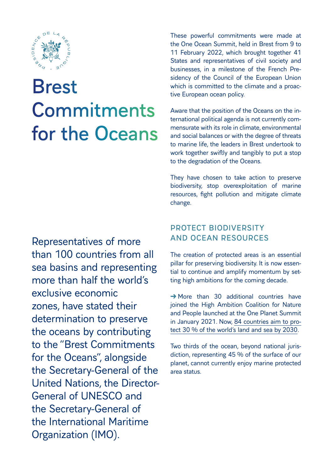

# Brest Commitments for the Oceans

Representatives of more than 100 countries from all sea basins and representing more than half the world's exclusive economic zones, have stated their determination to preserve the oceans by contributing to the "Brest Commitments for the Oceans", alongside the Secretary-General of the United Nations, the Director-General of UNESCO and the Secretary-General of the International Maritime Organization (IMO).

These powerful commitments were made at the One Ocean Summit, held in Brest from 9 to 11 February 2022, which brought together 41 States and representatives of civil society and businesses, in a milestone of the French Presidency of the Council of the European Union which is committed to the climate and a proactive European ocean policy.

Aware that the position of the Oceans on the international political agenda is not currently commensurate with its role in climate, environmental and social balances or with the degree of threats to marine life, the leaders in Brest undertook to work together swiftly and tangibly to put a stop to the degradation of the Oceans.

They have chosen to take action to preserve biodiversity, stop overexploitation of marine resources, fight pollution and mitigate climate change.

## PROTECT BIODIVERSITY AND OCEAN RESOURCES

The creation of protected areas is an essential pillar for preserving biodiversity. It is now essential to continue and amplify momentum by setting high ambitions for the coming decade.

 $\rightarrow$  More than 30 additional countries have joined the High Ambition Coalition for Nature and People launched at the One Planet Summit in January 2021. Now, 84 countries aim to protect 30 % of the world's land and sea by 2030.

Two thirds of the ocean, beyond national jurisdiction, representing 45 % of the surface of our planet, cannot currently enjoy marine protected area status.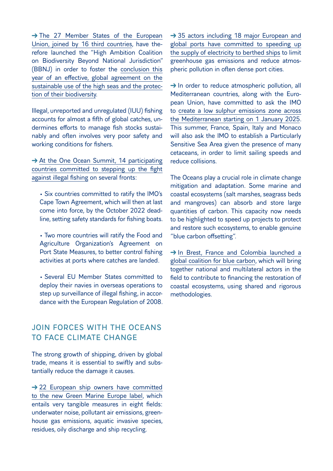$\rightarrow$  The 27 Member States of the European Union, joined by 16 third countries, have therefore launched the "High Ambition Coalition on Biodiversity Beyond National Jurisdiction" (BBNJ) in order to foster the conclusion this year of an effective, global agreement on the sustainable use of the high seas and the protection of their biodiversity.

Illegal, unreported and unregulated (IUU) fishing accounts for almost a fifth of global catches, undermines efforts to manage fish stocks sustainably and often involves very poor safety and working conditions for fishers.

→ At the One Ocean Summit, 14 participating countries committed to stepping up the fight against illegal fishing on several fronts:

• Six countries committed to ratify the IMO's Cape Town Agreement, which will then at last come into force, by the October 2022 deadline, setting safety standards for fishing boats.

• Two more countries will ratify the Food and Agriculture Organization's Agreement on Port State Measures, to better control fishing activities at ports where catches are landed.

• Several EU Member States committed to deploy their navies in overseas operations to step up surveillance of illegal fishing, in accordance with the European Regulation of 2008.

### JOIN FORCES WITH THE OCEANS TO FACE CLIMATE CHANGE

The strong growth of shipping, driven by global trade, means it is essential to swiftly and substantially reduce the damage it causes.

 $\rightarrow$  22 European ship owners have committed to the new Green Marine Europe label, which entails very tangible measures in eight fields: underwater noise, pollutant air emissions, greenhouse gas emissions, aquatic invasive species, residues, oily discharge and ship recycling.

→ 35 actors including 18 major European and global ports have committed to speeding up the supply of electricity to berthed ships to limit greenhouse gas emissions and reduce atmospheric pollution in often dense port cities.

 $\rightarrow$  In order to reduce atmospheric pollution, all Mediterranean countries, along with the European Union, have committed to ask the IMO to create a low sulphur emissions zone across the Mediterranean starting on 1 January 2025. This summer, France, Spain, Italy and Monaco will also ask the IMO to establish a Particularly Sensitive Sea Area given the presence of many cetaceans, in order to limit sailing speeds and reduce collisions.

The Oceans play a crucial role in climate change mitigation and adaptation. Some marine and coastal ecosystems (salt marshes, seagrass beds and mangroves) can absorb and store large quantities of carbon. This capacity now needs to be highlighted to speed up projects to protect and restore such ecosystems, to enable genuine "blue carbon offsetting".

 $\rightarrow$  In Brest, France and Colombia launched a global coalition for blue carbon, which will bring together national and multilateral actors in the field to contribute to financing the restoration of coastal ecosystems, using shared and rigorous methodologies.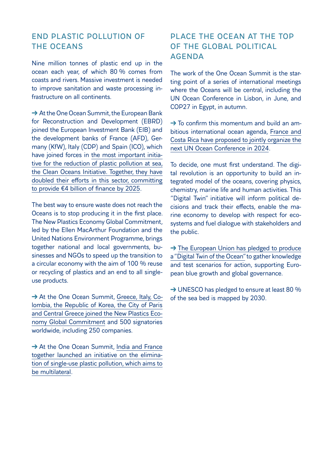#### END PLASTIC POLLUTION OF THE OCEANS

Nine million tonnes of plastic end up in the ocean each year, of which 80 % comes from coasts and rivers. Massive investment is needed to improve sanitation and waste processing infrastructure on all continents.

→ At the One Ocean Summit, the European Bank for Reconstruction and Development (EBRD) joined the European Investment Bank (EIB) and the development banks of France (AFD), Germany (KfW), Italy (CDP) and Spain (ICO), which have joined forces in the most important initiative for the reduction of plastic pollution at sea, the Clean Oceans Initiative. Together, they have doubled their efforts in this sector, committing to provide €4 billion of finance by 2025.

The best way to ensure waste does not reach the Oceans is to stop producing it in the first place. The New Plastics Economy Global Commitment, led by the Ellen MacArthur Foundation and the United Nations Environment Programme, brings together national and local governments, businesses and NGOs to speed up the transition to a circular economy with the aim of 100 % reuse or recycling of plastics and an end to all singleuse products.

→ At the One Ocean Summit, Greece, Italy, Colombia, the Republic of Korea, the City of Paris and Central Greece joined the New Plastics Economy Global Commitment and 500 signatories worldwide, including 250 companies.

 $\rightarrow$  At the One Ocean Summit, India and France together launched an initiative on the elimination of single-use plastic pollution, which aims to be multilateral.

### PLACE THE OCEAN AT THE TOP OF THE GLOBAL POLITICAL AGENDA

The work of the One Ocean Summit is the starting point of a series of international meetings where the Oceans will be central, including the UN Ocean Conference in Lisbon, in June, and COP27 in Egypt, in autumn.

 $\rightarrow$  To confirm this momentum and build an ambitious international ocean agenda, France and Costa Rica have proposed to jointly organize the next UN Ocean Conference in 2024.

To decide, one must first understand. The digital revolution is an opportunity to build an integrated model of the oceans, covering physics, chemistry, marine life and human activities. This "Digital Twin" initiative will inform political decisions and track their effects, enable the marine economy to develop with respect for ecosystems and fuel dialogue with stakeholders and the public.

 $\rightarrow$  The European Union has pledged to produce a "Digital Twin of the Ocean" to gather knowledge and test scenarios for action, supporting European blue growth and global governance.

→ UNESCO has pledged to ensure at least 80 % of the sea bed is mapped by 2030.